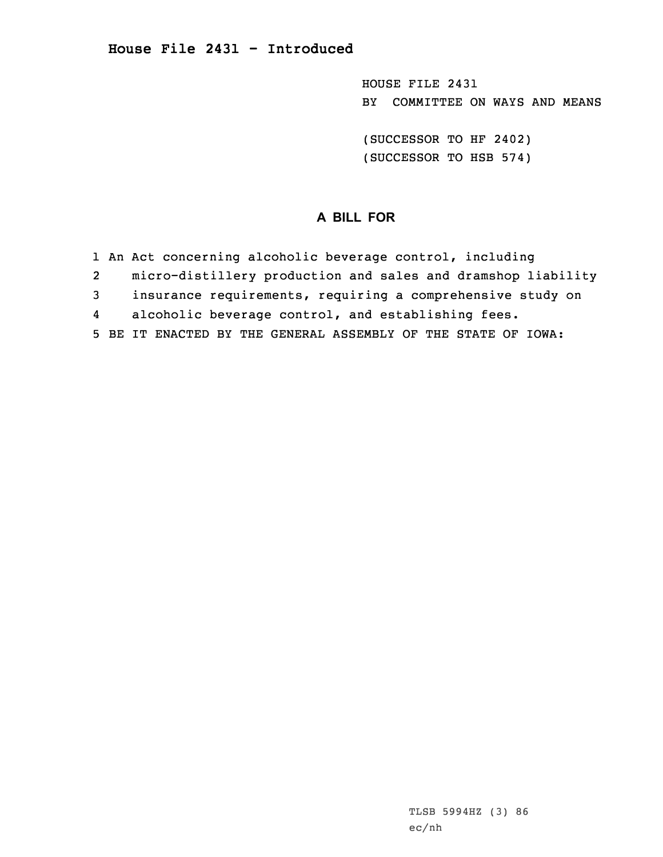HOUSE FILE 2431 BY COMMITTEE ON WAYS AND MEANS

(SUCCESSOR TO HF 2402) (SUCCESSOR TO HSB 574)

## **A BILL FOR**

- 1 An Act concerning alcoholic beverage control, including
- 2micro-distillery production and sales and dramshop liability
- 3 insurance requirements, requiring <sup>a</sup> comprehensive study on
- 4alcoholic beverage control, and establishing fees.
- 5 BE IT ENACTED BY THE GENERAL ASSEMBLY OF THE STATE OF IOWA: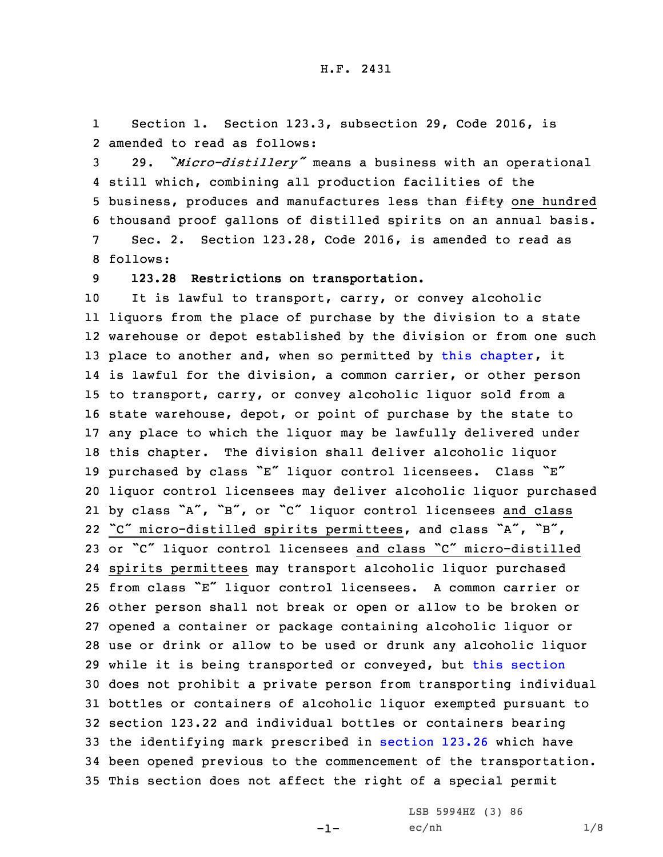1 Section 1. Section 123.3, subsection 29, Code 2016, is 2 amended to read as follows:

 29. *"Micro-distillery"* means <sup>a</sup> business with an operational still which, combining all production facilities of the 5 business, produces and manufactures less than fifty one hundred thousand proof gallons of distilled spirits on an annual basis. Sec. 2. Section 123.28, Code 2016, is amended to read as 8 follows:

9 **123.28 Restrictions on transportation.**

 It is lawful to transport, carry, or convey alcoholic liquors from the place of purchase by the division to <sup>a</sup> state warehouse or depot established by the division or from one such 13 place to another and, when so permitted by this [chapter](https://www.legis.iowa.gov/docs/code/2016/123.pdf), it is lawful for the division, <sup>a</sup> common carrier, or other person to transport, carry, or convey alcoholic liquor sold from <sup>a</sup> state warehouse, depot, or point of purchase by the state to any place to which the liquor may be lawfully delivered under this chapter. The division shall deliver alcoholic liquor purchased by class "E" liquor control licensees. Class "E" liquor control licensees may deliver alcoholic liquor purchased by class "A", "B", or "C" liquor control licensees and class "C" micro-distilled spirits permittees, and class "A", "B", or "C" liquor control licensees and class "C" micro-distilled spirits permittees may transport alcoholic liquor purchased from class "E" liquor control licensees. <sup>A</sup> common carrier or other person shall not break or open or allow to be broken or opened <sup>a</sup> container or package containing alcoholic liquor or use or drink or allow to be used or drunk any alcoholic liquor while it is being transported or conveyed, but this [section](https://www.legis.iowa.gov/docs/code/2016/123.28.pdf) does not prohibit <sup>a</sup> private person from transporting individual bottles or containers of alcoholic liquor exempted pursuant to section 123.22 and individual bottles or containers bearing the identifying mark prescribed in [section](https://www.legis.iowa.gov/docs/code/2016/123.26.pdf) 123.26 which have been opened previous to the commencement of the transportation. This section does not affect the right of <sup>a</sup> special permit

-1-

LSB 5994HZ (3) 86  $ec/nh$   $1/8$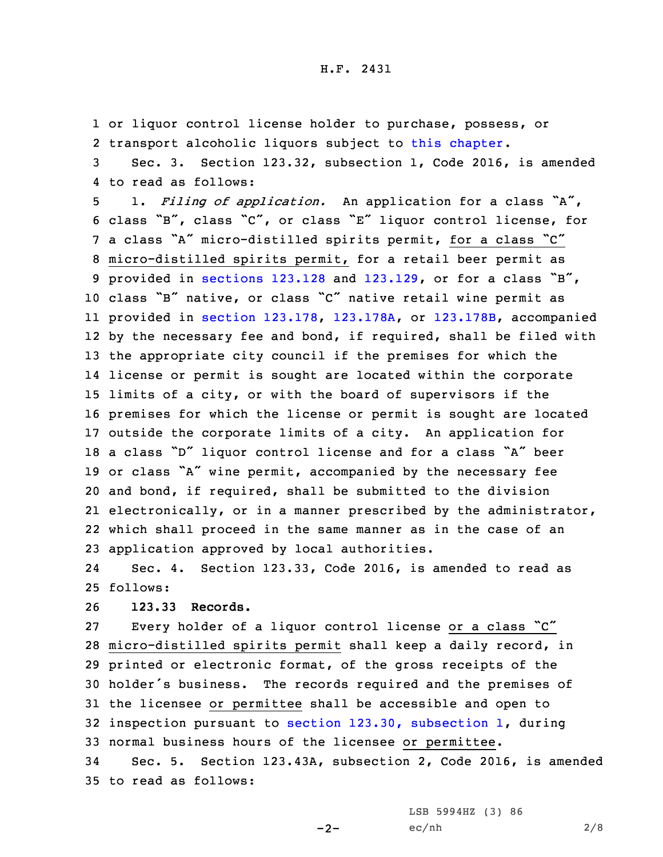1 or liquor control license holder to purchase, possess, or 2 transport alcoholic liquors subject to this [chapter](https://www.legis.iowa.gov/docs/code/2016/123.pdf).

3 Sec. 3. Section 123.32, subsection 1, Code 2016, is amended 4 to read as follows:

 1. *Filing of application.* An application for <sup>a</sup> class "A", class "B", class "C", or class "E" liquor control license, for <sup>a</sup> class "A" micro-distilled spirits permit, for <sup>a</sup> class "C" micro-distilled spirits permit, for <sup>a</sup> retail beer permit as provided in [sections](https://www.legis.iowa.gov/docs/code/2016/123.128.pdf) 123.128 and [123.129](https://www.legis.iowa.gov/docs/code/2016/123.129.pdf), or for <sup>a</sup> class "B", class "B" native, or class "C" native retail wine permit as provided in section [123.178](https://www.legis.iowa.gov/docs/code/2016/123.178.pdf), [123.178A](https://www.legis.iowa.gov/docs/code/2016/123.178A.pdf), or [123.178B](https://www.legis.iowa.gov/docs/code/2016/123.178B.pdf), accompanied by the necessary fee and bond, if required, shall be filed with the appropriate city council if the premises for which the license or permit is sought are located within the corporate limits of <sup>a</sup> city, or with the board of supervisors if the premises for which the license or permit is sought are located outside the corporate limits of <sup>a</sup> city. An application for <sup>a</sup> class "D" liquor control license and for <sup>a</sup> class "A" beer or class "A" wine permit, accompanied by the necessary fee and bond, if required, shall be submitted to the division electronically, or in <sup>a</sup> manner prescribed by the administrator, which shall proceed in the same manner as in the case of an application approved by local authorities.

24 Sec. 4. Section 123.33, Code 2016, is amended to read as 25 follows:

26 **123.33 Records.**

 Every holder of <sup>a</sup> liquor control license or <sup>a</sup> class "C" micro-distilled spirits permit shall keep <sup>a</sup> daily record, in printed or electronic format, of the gross receipts of the holder's business. The records required and the premises of the licensee or permittee shall be accessible and open to inspection pursuant to section 123.30, [subsection](https://www.legis.iowa.gov/docs/code/2016/123.30.pdf) 1, during normal business hours of the licensee or permittee.

34 Sec. 5. Section 123.43A, subsection 2, Code 2016, is amended 35 to read as follows:

 $-2-$ 

LSB 5994HZ (3) 86 ec/nh 2/8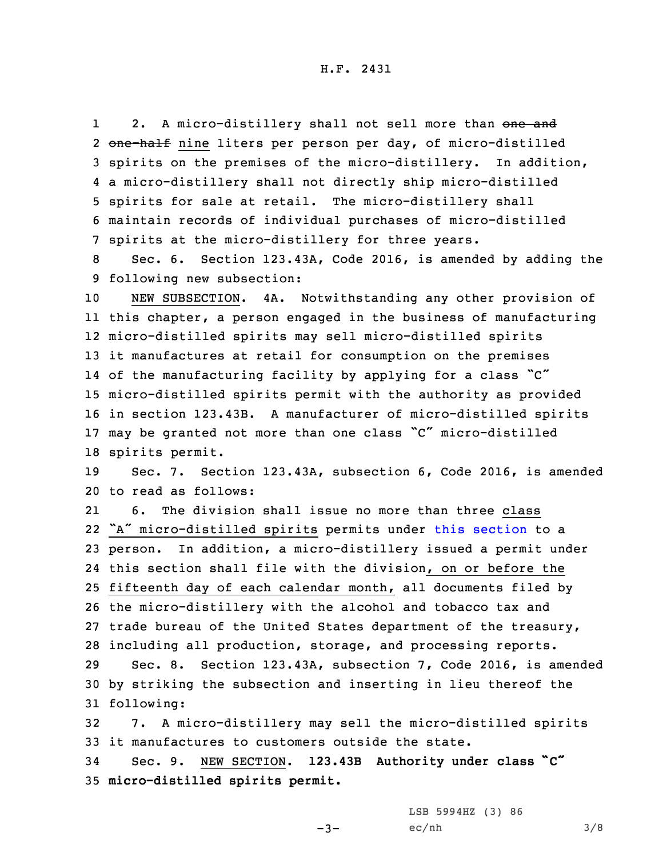12. A micro-distillery shall not sell more than one and 2 <del>one-half</del> nine liters per person per day, of micro-distilled spirits on the premises of the micro-distillery. In addition, <sup>a</sup> micro-distillery shall not directly ship micro-distilled spirits for sale at retail. The micro-distillery shall maintain records of individual purchases of micro-distilled spirits at the micro-distillery for three years.

8 Sec. 6. Section 123.43A, Code 2016, is amended by adding the 9 following new subsection:

 NEW SUBSECTION. 4A. Notwithstanding any other provision of this chapter, <sup>a</sup> person engaged in the business of manufacturing micro-distilled spirits may sell micro-distilled spirits it manufactures at retail for consumption on the premises of the manufacturing facility by applying for <sup>a</sup> class "C" micro-distilled spirits permit with the authority as provided in section 123.43B. <sup>A</sup> manufacturer of micro-distilled spirits may be granted not more than one class "C" micro-distilled spirits permit.

19 Sec. 7. Section 123.43A, subsection 6, Code 2016, is amended 20 to read as follows:

21 6. The division shall issue no more than three class "A" micro-distilled spirits permits under this [section](https://www.legis.iowa.gov/docs/code/2016/123.43A.pdf) to <sup>a</sup> person. In addition, <sup>a</sup> micro-distillery issued <sup>a</sup> permit under this section shall file with the division, on or before the fifteenth day of each calendar month, all documents filed by the micro-distillery with the alcohol and tobacco tax and trade bureau of the United States department of the treasury, including all production, storage, and processing reports. Sec. 8. Section 123.43A, subsection 7, Code 2016, is amended by striking the subsection and inserting in lieu thereof the following:

32 7. <sup>A</sup> micro-distillery may sell the micro-distilled spirits 33 it manufactures to customers outside the state.

 $-3-$ 

<sup>34</sup> Sec. 9. NEW SECTION. **123.43B Authority under class "C"** 35 **micro-distilled spirits permit.**

> LSB 5994HZ (3) 86  $ec/nh$   $3/8$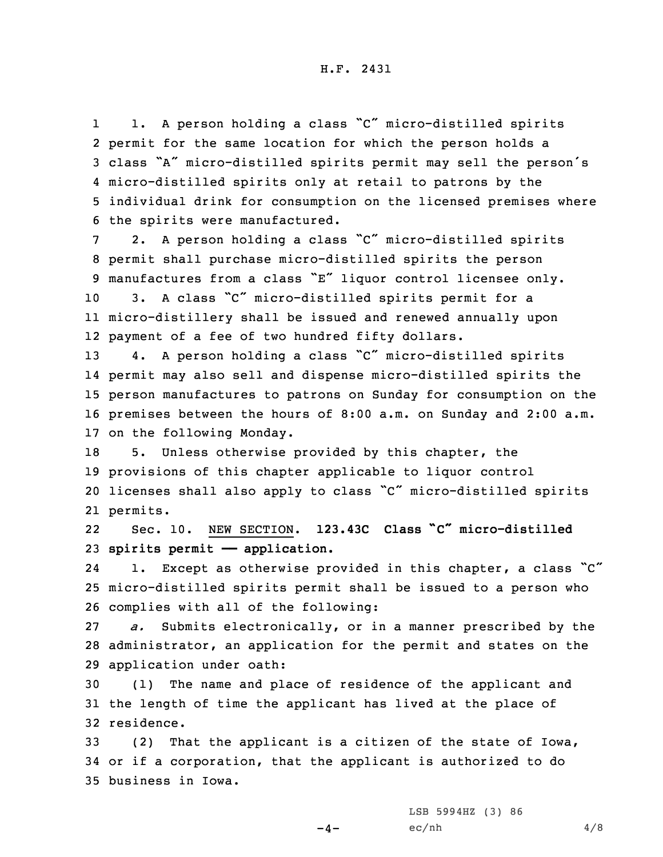1 1. <sup>A</sup> person holding <sup>a</sup> class "C" micro-distilled spirits permit for the same location for which the person holds <sup>a</sup> class "A" micro-distilled spirits permit may sell the person's micro-distilled spirits only at retail to patrons by the individual drink for consumption on the licensed premises where the spirits were manufactured.

 2. <sup>A</sup> person holding <sup>a</sup> class "C" micro-distilled spirits permit shall purchase micro-distilled spirits the person manufactures from <sup>a</sup> class "E" liquor control licensee only. 3. <sup>A</sup> class "C" micro-distilled spirits permit for <sup>a</sup>

11 micro-distillery shall be issued and renewed annually upon 12 payment of <sup>a</sup> fee of two hundred fifty dollars.

 4. <sup>A</sup> person holding <sup>a</sup> class "C" micro-distilled spirits permit may also sell and dispense micro-distilled spirits the person manufactures to patrons on Sunday for consumption on the premises between the hours of 8:00 a.m. on Sunday and 2:00 a.m. on the following Monday.

 5. Unless otherwise provided by this chapter, the provisions of this chapter applicable to liquor control licenses shall also apply to class "C" micro-distilled spirits 21 permits.

22 Sec. 10. NEW SECTION. **123.43C Class "C" micro-distilled** 23 **spirits permit —— application.**

241. Except as otherwise provided in this chapter, a class "C" 25 micro-distilled spirits permit shall be issued to <sup>a</sup> person who 26 complies with all of the following:

27 *a.* Submits electronically, or in <sup>a</sup> manner prescribed by the 28 administrator, an application for the permit and states on the 29 application under oath:

30 (1) The name and place of residence of the applicant and 31 the length of time the applicant has lived at the place of 32 residence.

33 (2) That the applicant is <sup>a</sup> citizen of the state of Iowa, 34 or if <sup>a</sup> corporation, that the applicant is authorized to do 35 business in Iowa.

 $-4-$ 

LSB 5994HZ (3) 86  $ec/nh$  4/8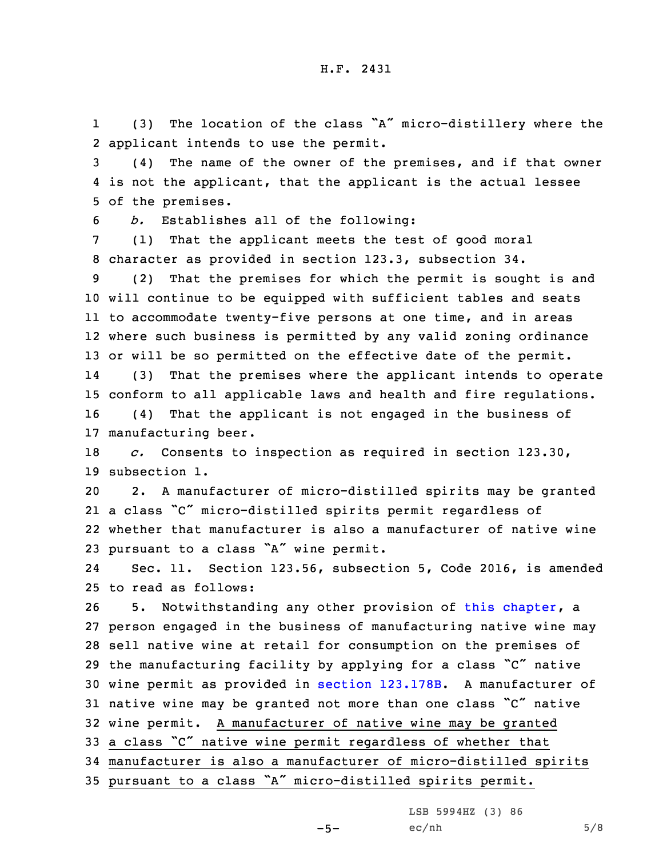1 (3) The location of the class "A" micro-distillery where the 2 applicant intends to use the permit.

3 (4) The name of the owner of the premises, and if that owner 4 is not the applicant, that the applicant is the actual lessee 5 of the premises.

6 *b.* Establishes all of the following:

7 (1) That the applicant meets the test of good moral 8 character as provided in section 123.3, subsection 34.

 (2) That the premises for which the permit is sought is and will continue to be equipped with sufficient tables and seats to accommodate twenty-five persons at one time, and in areas where such business is permitted by any valid zoning ordinance or will be so permitted on the effective date of the permit. 14 (3) That the premises where the applicant intends to operate conform to all applicable laws and health and fire regulations. (4) That the applicant is not engaged in the business of manufacturing beer.

18 *c.* Consents to inspection as required in section 123.30, 19 subsection 1.

 2. <sup>A</sup> manufacturer of micro-distilled spirits may be granted <sup>a</sup> class "C" micro-distilled spirits permit regardless of whether that manufacturer is also <sup>a</sup> manufacturer of native wine pursuant to <sup>a</sup> class "A" wine permit.

24 Sec. 11. Section 123.56, subsection 5, Code 2016, is amended 25 to read as follows:

 5. Notwithstanding any other provision of this [chapter](https://www.legis.iowa.gov/docs/code/2016/123.pdf), <sup>a</sup> person engaged in the business of manufacturing native wine may sell native wine at retail for consumption on the premises of the manufacturing facility by applying for <sup>a</sup> class "C" native wine permit as provided in section [123.178B](https://www.legis.iowa.gov/docs/code/2016/123.178B.pdf). <sup>A</sup> manufacturer of native wine may be granted not more than one class "C" native wine permit. <sup>A</sup> manufacturer of native wine may be granted <sup>a</sup> class "C" native wine permit regardless of whether that manufacturer is also <sup>a</sup> manufacturer of micro-distilled spirits pursuant to <sup>a</sup> class "A" micro-distilled spirits permit.

LSB 5994HZ (3) 86

 $-5-$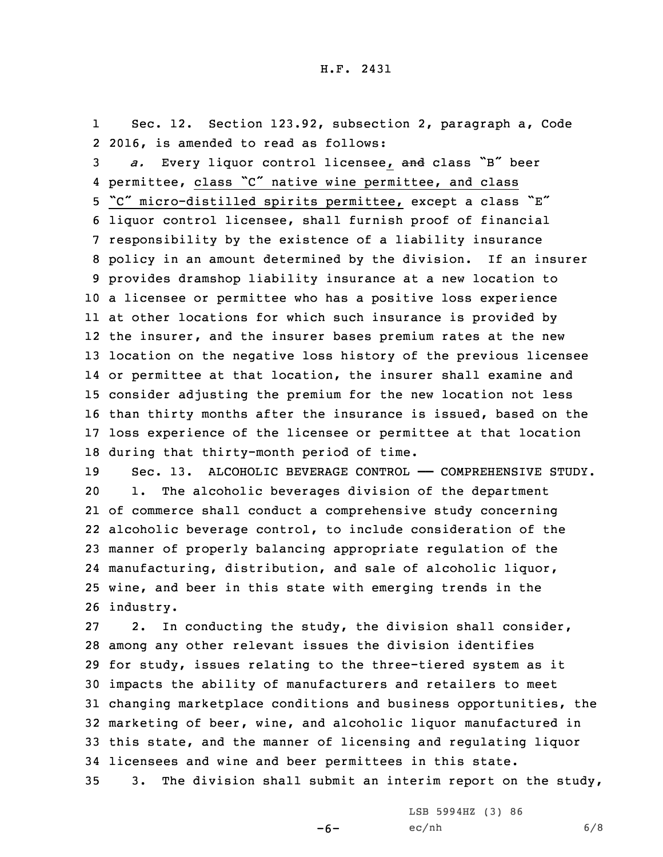1 Sec. 12. Section 123.92, subsection 2, paragraph a, Code 2 2016, is amended to read as follows:

 *a.* Every liquor control licensee, and class "B" beer permittee, class "C" native wine permittee, and class "C" micro-distilled spirits permittee, except <sup>a</sup> class "E" liquor control licensee, shall furnish proof of financial responsibility by the existence of <sup>a</sup> liability insurance policy in an amount determined by the division. If an insurer provides dramshop liability insurance at <sup>a</sup> new location to <sup>a</sup> licensee or permittee who has <sup>a</sup> positive loss experience at other locations for which such insurance is provided by the insurer, and the insurer bases premium rates at the new location on the negative loss history of the previous licensee or permittee at that location, the insurer shall examine and consider adjusting the premium for the new location not less than thirty months after the insurance is issued, based on the loss experience of the licensee or permittee at that location during that thirty-month period of time.

19 Sec. 13. ALCOHOLIC BEVERAGE CONTROL - COMPREHENSIVE STUDY. 1. The alcoholic beverages division of the department of commerce shall conduct <sup>a</sup> comprehensive study concerning alcoholic beverage control, to include consideration of the manner of properly balancing appropriate regulation of the manufacturing, distribution, and sale of alcoholic liquor, wine, and beer in this state with emerging trends in the industry.

 2. In conducting the study, the division shall consider, among any other relevant issues the division identifies for study, issues relating to the three-tiered system as it impacts the ability of manufacturers and retailers to meet changing marketplace conditions and business opportunities, the marketing of beer, wine, and alcoholic liquor manufactured in this state, and the manner of licensing and regulating liquor licensees and wine and beer permittees in this state. 3. The division shall submit an interim report on the study,

-6-

LSB 5994HZ (3) 86  $ec/nh$  6/8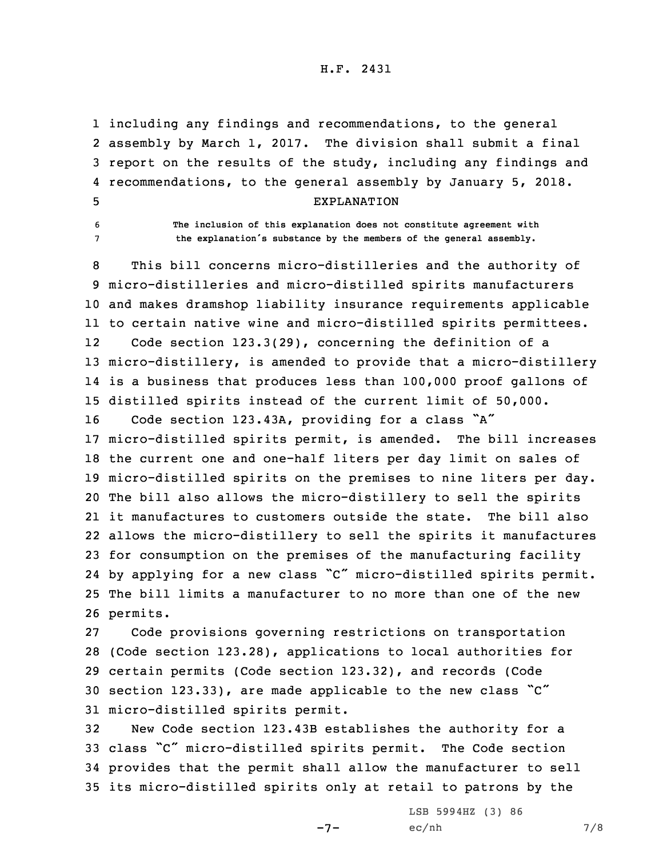## H.F. 2431

 including any findings and recommendations, to the general assembly by March 1, 2017. The division shall submit <sup>a</sup> final report on the results of the study, including any findings and recommendations, to the general assembly by January 5, 2018. EXPLANATION

6 **The inclusion of this explanation does not constitute agreement with** <sup>7</sup> **the explanation's substance by the members of the general assembly.**

 This bill concerns micro-distilleries and the authority of micro-distilleries and micro-distilled spirits manufacturers and makes dramshop liability insurance requirements applicable to certain native wine and micro-distilled spirits permittees. 12 Code section 123.3(29), concerning the definition of <sup>a</sup> micro-distillery, is amended to provide that <sup>a</sup> micro-distillery is <sup>a</sup> business that produces less than 100,000 proof gallons of distilled spirits instead of the current limit of 50,000. Code section 123.43A, providing for <sup>a</sup> class "A" micro-distilled spirits permit, is amended. The bill increases the current one and one-half liters per day limit on sales of micro-distilled spirits on the premises to nine liters per day. The bill also allows the micro-distillery to sell the spirits it manufactures to customers outside the state. The bill also allows the micro-distillery to sell the spirits it manufactures for consumption on the premises of the manufacturing facility by applying for <sup>a</sup> new class "C" micro-distilled spirits permit. The bill limits <sup>a</sup> manufacturer to no more than one of the new 26 permits.

 Code provisions governing restrictions on transportation (Code section 123.28), applications to local authorities for certain permits (Code section 123.32), and records (Code section 123.33), are made applicable to the new class "C" micro-distilled spirits permit.

 New Code section 123.43B establishes the authority for <sup>a</sup> class "C" micro-distilled spirits permit. The Code section provides that the permit shall allow the manufacturer to sell its micro-distilled spirits only at retail to patrons by the

-7-

LSB 5994HZ (3) 86 ec/nh 7/8